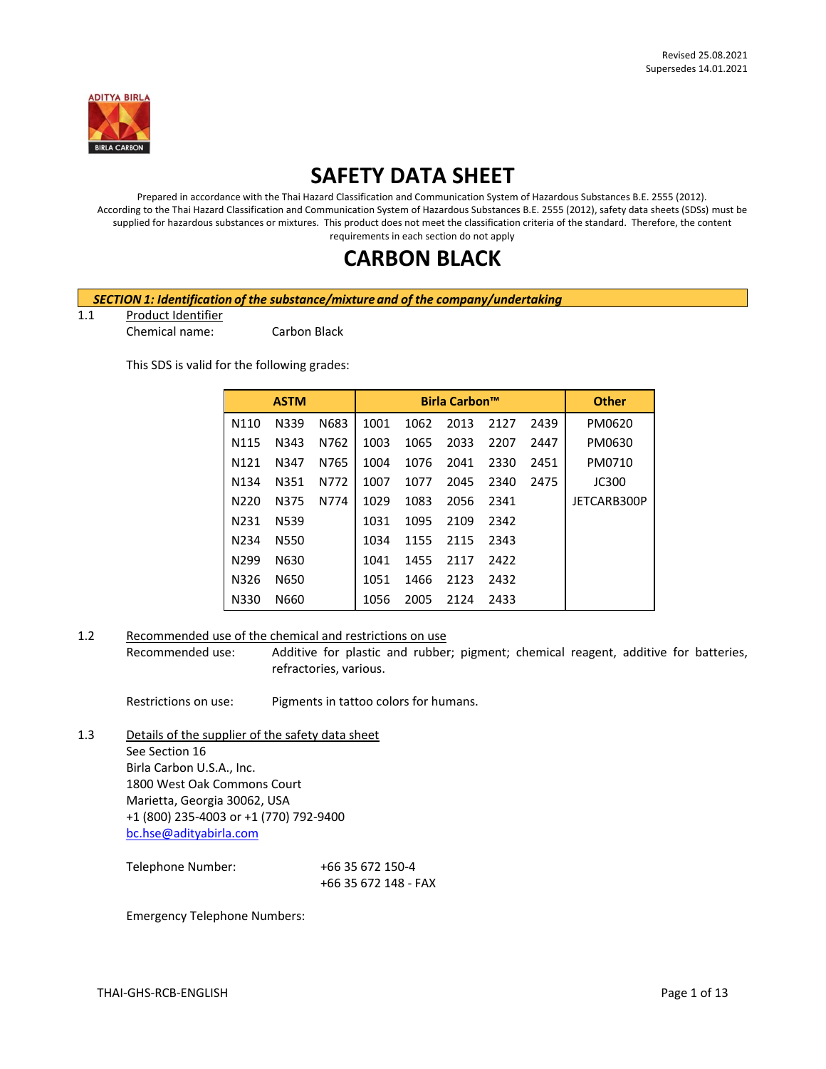

# **SAFETY DATA SHEET**

Prepared in accordance with the Thai Hazard Classification and Communication System of Hazardous Substances B.E. 2555 (2012). According to the Thai Hazard Classification and Communication System of Hazardous Substances B.E. 2555 (2012), safety data sheets (SDSs) must be supplied for hazardous substances or mixtures. This product does not meet the classification criteria of the standard. Therefore, the content requirements in each section do not apply

# **CARBON BLACK**

#### *SECTION 1: Identification of the substance/mixture and of the company/undertaking*

#### 1.1 Product Identifier

Chemical name: Carbon Black

This SDS is valid for the following grades:

|                   | <b>ASTM</b> |      |      | <b>Birla Carbon™</b> |      |      | <b>Other</b> |              |
|-------------------|-------------|------|------|----------------------|------|------|--------------|--------------|
| N110              | N339        | N683 | 1001 | 1062                 | 2013 | 2127 | 2439         | PM0620       |
| N <sub>115</sub>  | N343        | N762 | 1003 | 1065                 | 2033 | 2207 | 2447         | PM0630       |
| N <sub>121</sub>  | N347        | N765 | 1004 | 1076                 | 2041 | 2330 | 2451         | PM0710       |
| N <sub>1</sub> 34 | N351        | N772 | 1007 | 1077                 | 2045 | 2340 | 2475         | <b>JC300</b> |
| N220              | N375        | N774 | 1029 | 1083                 | 2056 | 2341 |              | JETCARB300P  |
| N231              | N539        |      | 1031 | 1095                 | 2109 | 2342 |              |              |
| N <sub>2</sub> 34 | N550        |      | 1034 | 1155                 | 2115 | 2343 |              |              |
| N <sub>299</sub>  | N630        |      | 1041 | 1455                 | 2117 | 2422 |              |              |
| N326              | N650        |      | 1051 | 1466                 | 2123 | 2432 |              |              |
| N330              | N660        |      | 1056 | 2005                 | 2124 | 2433 |              |              |

#### 1.2 Recommended use of the chemical and restrictions on use

Recommended use: Additive for plastic and rubber; pigment; chemical reagent, additive for batteries, refractories, various.

Restrictions on use: Pigments in tattoo colors for humans.

1.3 Details of the supplier of the safety data sheet See Section 16 Birla Carbon U.S.A., Inc. 1800 West Oak Commons Court Marietta, Georgia 30062, USA +1 (800) 235-4003 or +1 (770) 792-9400 [bc.hse@adityabirla.com](mailto:bc.hse@adityabirla.com)

> Telephone Number: +66 35 672 150-4 +66 35 672 148 - FAX

Emergency Telephone Numbers: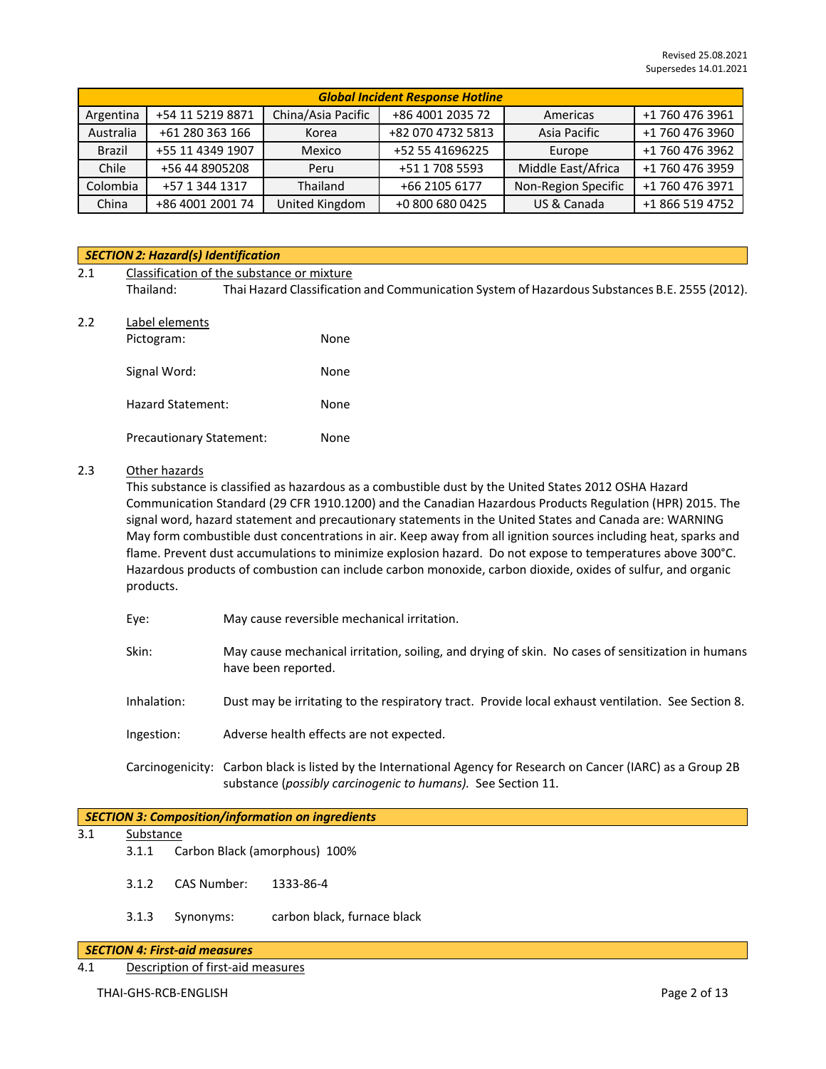| <b>Global Incident Response Hotline</b> |                  |                    |                   |                     |                 |  |
|-----------------------------------------|------------------|--------------------|-------------------|---------------------|-----------------|--|
| Argentina                               | +54 11 5219 8871 | China/Asia Pacific | +86 4001 2035 72  | Americas            | +1 760 476 3961 |  |
| Australia                               | +61 280 363 166  | Korea              | +82 070 4732 5813 | Asia Pacific        | +1 760 476 3960 |  |
| <b>Brazil</b>                           | +55 11 4349 1907 | Mexico             | +52 55 41696225   | Europe              | +1 760 476 3962 |  |
| Chile                                   | +56 44 8905208   | Peru               | +51 1 708 5593    | Middle East/Africa  | +1 760 476 3959 |  |
| Colombia                                | +57 1 344 1317   | Thailand           | +66 2105 6177     | Non-Region Specific | +1 760 476 3971 |  |
| China                                   | +86 4001 2001 74 | United Kingdom     | +0 800 680 0425   | US & Canada         | +1 866 519 4752 |  |

#### *SECTION 2: Hazard(s) Identification*

| 2.1 | Classification of the substance or mixture |                                                                                               |  |  |  |
|-----|--------------------------------------------|-----------------------------------------------------------------------------------------------|--|--|--|
|     | Thailand:                                  | Thai Hazard Classification and Communication System of Hazardous Substances B.E. 2555 (2012). |  |  |  |
| 2.2 | Label elements                             |                                                                                               |  |  |  |
|     | Pictogram:                                 | None                                                                                          |  |  |  |

| Signal Word:             | None |
|--------------------------|------|
| Hazard Statement:        | None |
| Precautionary Statement: | None |

### 2.3 Other hazards

This substance is classified as hazardous as a combustible dust by the United States 2012 OSHA Hazard Communication Standard (29 CFR 1910.1200) and the Canadian Hazardous Products Regulation (HPR) 2015. The signal word, hazard statement and precautionary statements in the United States and Canada are: WARNING May form combustible dust concentrations in air. Keep away from all ignition sources including heat, sparks and flame. Prevent dust accumulations to minimize explosion hazard. Do not expose to temperatures above 300°C. Hazardous products of combustion can include carbon monoxide, carbon dioxide, oxides of sulfur, and organic products.

- Eye: May cause reversible mechanical irritation.
- Skin: May cause mechanical irritation, soiling, and drying of skin. No cases of sensitization in humans have been reported.
- Inhalation: Dust may be irritating to the respiratory tract. Provide local exhaust ventilation. See Section 8.
- Ingestion: Adverse health effects are not expected.
- Carcinogenicity: Carbon black is listed by the International Agency for Research on Cancer (IARC) as a Group 2B substance (*possibly carcinogenic to humans).* See Section 11.

# *SECTION 3: Composition/information on ingredients*

# 3.1 Substance

- 3.1.1 Carbon Black (amorphous) 100%
- 3.1.2 CAS Number: 1333-86-4
- 3.1.3 Synonyms: carbon black, furnace black

#### *SECTION 4: First-aid measures*

4.1 Description of first-aid measures

THAI-GHS-RCB-ENGLISH Page 2 of 13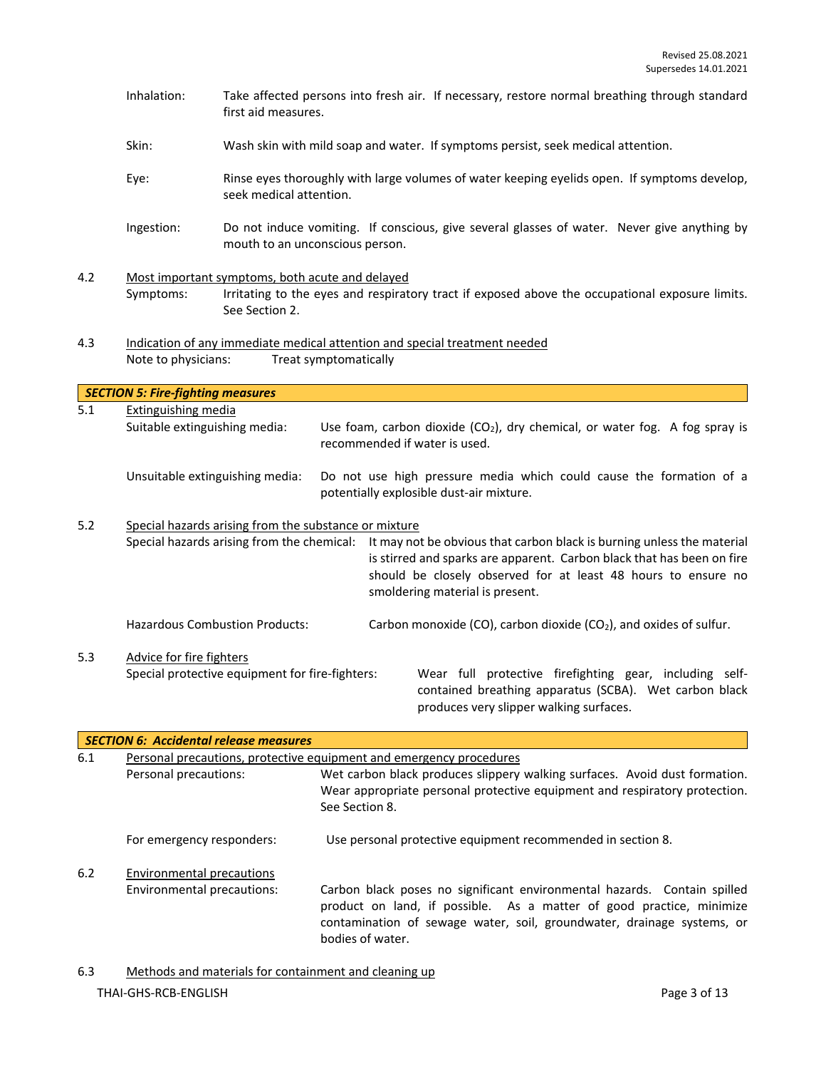- Inhalation: Take affected persons into fresh air. If necessary, restore normal breathing through standard first aid measures.
- Skin: Wash skin with mild soap and water. If symptoms persist, seek medical attention.
- Eye: Rinse eyes thoroughly with large volumes of water keeping eyelids open. If symptoms develop, seek medical attention.
- Ingestion: Do not induce vomiting. If conscious, give several glasses of water. Never give anything by mouth to an unconscious person.
- 4.2 Most important symptoms, both acute and delayed<br>Symptoms: Irritating to the eyes and respirat Irritating to the eyes and respiratory tract if exposed above the occupational exposure limits. See Section 2.
- 4.3 Indication of any immediate medical attention and special treatment needed Note to physicians: Treat symptomatically

|                                                             | <b>SECTION 5: Fire-fighting measures</b>              |                                                                                                                                                                                                                                                      |  |
|-------------------------------------------------------------|-------------------------------------------------------|------------------------------------------------------------------------------------------------------------------------------------------------------------------------------------------------------------------------------------------------------|--|
| 5.1<br>Extinguishing media<br>Suitable extinguishing media: |                                                       | Use foam, carbon dioxide $(CO_2)$ , dry chemical, or water fog. A fog spray is<br>recommended if water is used.                                                                                                                                      |  |
|                                                             | Unsuitable extinguishing media:                       | Do not use high pressure media which could cause the formation of a<br>potentially explosible dust-air mixture.                                                                                                                                      |  |
| 5.2                                                         | Special hazards arising from the substance or mixture |                                                                                                                                                                                                                                                      |  |
|                                                             | Special hazards arising from the chemical:            | It may not be obvious that carbon black is burning unless the material<br>is stirred and sparks are apparent. Carbon black that has been on fire<br>should be closely observed for at least 48 hours to ensure no<br>smoldering material is present. |  |
|                                                             | <b>Hazardous Combustion Products:</b>                 | Carbon monoxide (CO), carbon dioxide (CO <sub>2</sub> ), and oxides of sulfur.                                                                                                                                                                       |  |
| 5.3                                                         | Advice for fire fighters                              |                                                                                                                                                                                                                                                      |  |
|                                                             | Special protective equipment for fire-fighters:       | Wear full protective firefighting gear, including self-<br>contained breathing apparatus (SCBA). Wet carbon black<br>produces very slipper walking surfaces.                                                                                         |  |

|     | <b>SECTION 6: Accidental release measures</b>                       |                                                                                                                                                                                                                                                |  |  |  |
|-----|---------------------------------------------------------------------|------------------------------------------------------------------------------------------------------------------------------------------------------------------------------------------------------------------------------------------------|--|--|--|
| 6.1 | Personal precautions, protective equipment and emergency procedures |                                                                                                                                                                                                                                                |  |  |  |
|     | Personal precautions:                                               | Wet carbon black produces slippery walking surfaces. Avoid dust formation.<br>Wear appropriate personal protective equipment and respiratory protection.<br>See Section 8.                                                                     |  |  |  |
|     | For emergency responders:                                           | Use personal protective equipment recommended in section 8.                                                                                                                                                                                    |  |  |  |
| 6.2 | Environmental precautions<br>Environmental precautions:             | Carbon black poses no significant environmental hazards. Contain spilled<br>product on land, if possible. As a matter of good practice, minimize<br>contamination of sewage water, soil, groundwater, drainage systems, or<br>bodies of water. |  |  |  |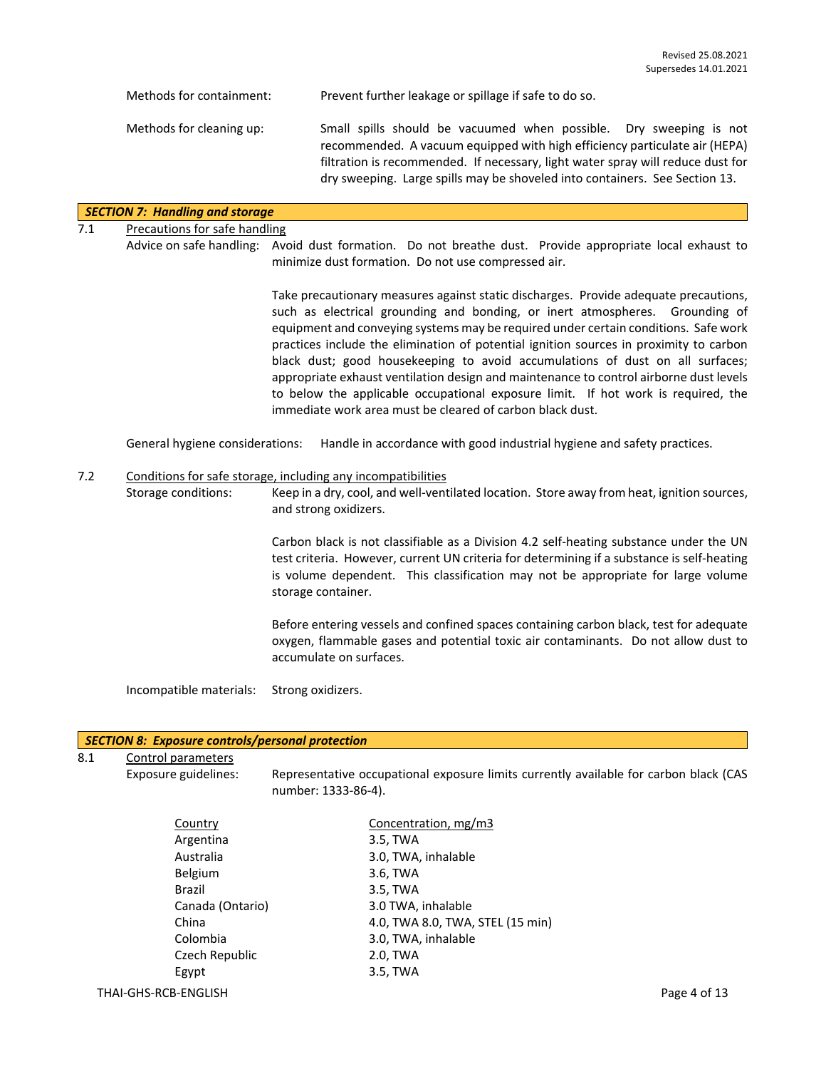| Methods for containment: | Prevent further leakage or spillage if safe to do so.                                                                                                                                                                                                                                                              |
|--------------------------|--------------------------------------------------------------------------------------------------------------------------------------------------------------------------------------------------------------------------------------------------------------------------------------------------------------------|
| Methods for cleaning up: | Small spills should be vacuumed when possible. Dry sweeping is not<br>recommended. A vacuum equipped with high efficiency particulate air (HEPA)<br>filtration is recommended. If necessary, light water spray will reduce dust for<br>dry sweeping. Large spills may be shoveled into containers. See Section 13. |

### *SECTION 7: Handling and storage*

### 7.1 Precautions for safe handling

Advice on safe handling: Avoid dust formation. Do not breathe dust. Provide appropriate local exhaust to minimize dust formation. Do not use compressed air.

> Take precautionary measures against static discharges. Provide adequate precautions, such as electrical grounding and bonding, or inert atmospheres. Grounding of equipment and conveying systems may be required under certain conditions. Safe work practices include the elimination of potential ignition sources in proximity to carbon black dust; good housekeeping to avoid accumulations of dust on all surfaces; appropriate exhaust ventilation design and maintenance to control airborne dust levels to below the applicable occupational exposure limit. If hot work is required, the immediate work area must be cleared of carbon black dust.

General hygiene considerations: Handle in accordance with good industrial hygiene and safety practices.

#### 7.2 Conditions for safe storage, including any incompatibilities

Storage conditions: Keep in a dry, cool, and well-ventilated location. Store away from heat, ignition sources, and strong oxidizers.

> Carbon black is not classifiable as a Division 4.2 self-heating substance under the UN test criteria. However, current UN criteria for determining if a substance is self-heating is volume dependent. This classification may not be appropriate for large volume storage container.

> Before entering vessels and confined spaces containing carbon black, test for adequate oxygen, flammable gases and potential toxic air contaminants. Do not allow dust to accumulate on surfaces.

Incompatible materials: Strong oxidizers.

#### *SECTION 8: Exposure controls/personal protection*

8.1 Control parameters

Exposure guidelines: Representative occupational exposure limits currently available for carbon black (CAS number: 1333-86-4).

| Country          | Concentration, mg/m3             |
|------------------|----------------------------------|
| Argentina        | 3.5, TWA                         |
| Australia        | 3.0, TWA, inhalable              |
| <b>Belgium</b>   | 3.6, TWA                         |
| <b>Brazil</b>    | 3.5, TWA                         |
| Canada (Ontario) | 3.0 TWA, inhalable               |
| China            | 4.0, TWA 8.0, TWA, STEL (15 min) |
| Colombia         | 3.0, TWA, inhalable              |
| Czech Republic   | 2.0, TWA                         |
| Egypt            | 3.5, TWA                         |
|                  |                                  |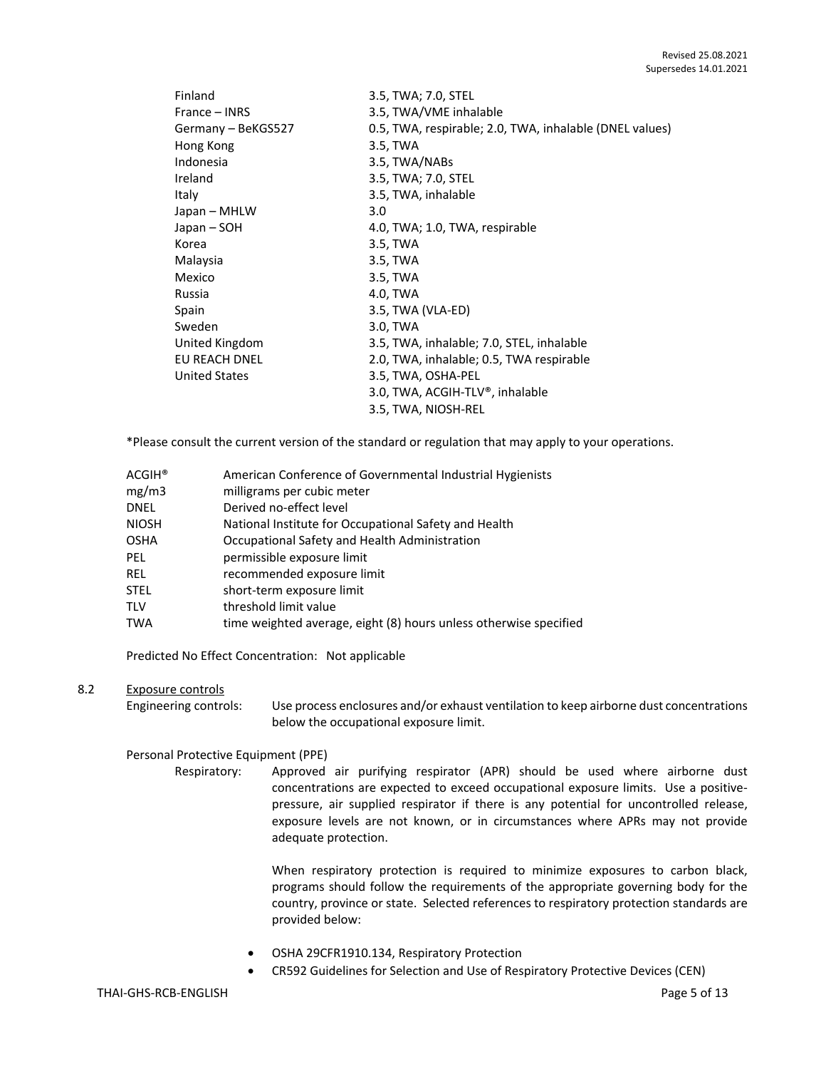| Finland              | 3.5, TWA; 7.0, STEL                                     |
|----------------------|---------------------------------------------------------|
| France – INRS        | 3.5, TWA/VME inhalable                                  |
| Germany - BeKGS527   | 0.5, TWA, respirable; 2.0, TWA, inhalable (DNEL values) |
| Hong Kong            | 3.5, TWA                                                |
| Indonesia            | 3.5, TWA/NABs                                           |
| Ireland              | 3.5, TWA; 7.0, STEL                                     |
| Italy                | 3.5, TWA, inhalable                                     |
| Japan – MHLW         | 3.0                                                     |
| Japan – SOH          | 4.0, TWA; 1.0, TWA, respirable                          |
| Korea                | 3.5, TWA                                                |
| Malaysia             | 3.5, TWA                                                |
| Mexico               | 3.5, TWA                                                |
| Russia               | 4.0, TWA                                                |
| Spain                | 3.5, TWA (VLA-ED)                                       |
| Sweden               | 3.0, TWA                                                |
| United Kingdom       | 3.5, TWA, inhalable; 7.0, STEL, inhalable               |
| EU REACH DNEL        | 2.0, TWA, inhalable; 0.5, TWA respirable                |
| <b>United States</b> | 3.5, TWA, OSHA-PEL                                      |
|                      | 3.0, TWA, ACGIH-TLV®, inhalable                         |
|                      | 3.5, TWA, NIOSH-REL                                     |

\*Please consult the current version of the standard or regulation that may apply to your operations.

| <b>ACGIH®</b> | American Conference of Governmental Industrial Hygienists         |
|---------------|-------------------------------------------------------------------|
| mg/m3         | milligrams per cubic meter                                        |
| <b>DNEL</b>   | Derived no-effect level                                           |
| <b>NIOSH</b>  | National Institute for Occupational Safety and Health             |
| <b>OSHA</b>   | Occupational Safety and Health Administration                     |
| PEL.          | permissible exposure limit                                        |
| <b>REL</b>    | recommended exposure limit                                        |
| <b>STEL</b>   | short-term exposure limit                                         |
| <b>TLV</b>    | threshold limit value                                             |
| <b>TWA</b>    | time weighted average, eight (8) hours unless otherwise specified |
|               |                                                                   |

Predicted No Effect Concentration: Not applicable

#### 8.2 Exposure controls

Engineering controls: Use process enclosures and/or exhaust ventilation to keep airborne dust concentrations below the occupational exposure limit.

# Personal Protective Equipment (PPE)

Respiratory: Approved air purifying respirator (APR) should be used where airborne dust concentrations are expected to exceed occupational exposure limits. Use a positivepressure, air supplied respirator if there is any potential for uncontrolled release, exposure levels are not known, or in circumstances where APRs may not provide adequate protection.

> When respiratory protection is required to minimize exposures to carbon black, programs should follow the requirements of the appropriate governing body for the country, province or state. Selected references to respiratory protection standards are provided below:

- OSHA 29CFR1910.134, Respiratory Protection
- CR592 Guidelines for Selection and Use of Respiratory Protective Devices (CEN)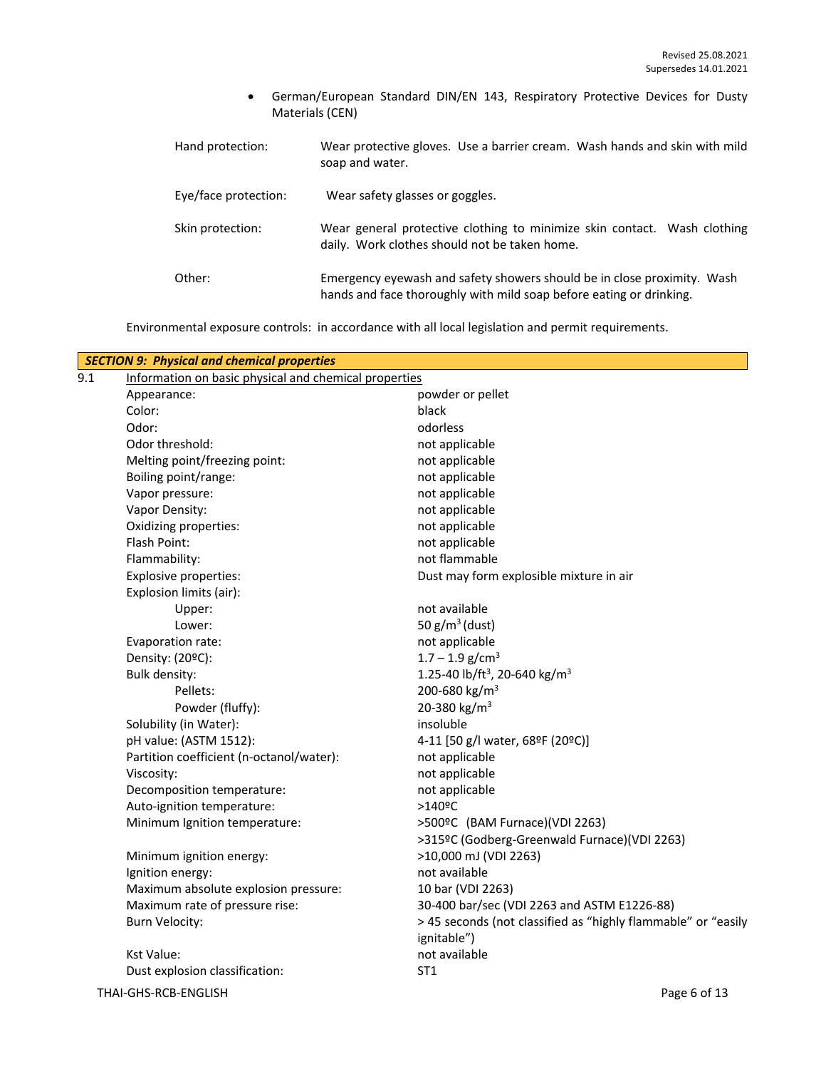• German/European Standard DIN/EN 143, Respiratory Protective Devices for Dusty Materials (CEN)

| Hand protection:     | Wear protective gloves. Use a barrier cream. Wash hands and skin with mild<br>soap and water.                                                  |
|----------------------|------------------------------------------------------------------------------------------------------------------------------------------------|
| Eye/face protection: | Wear safety glasses or goggles.                                                                                                                |
| Skin protection:     | Wear general protective clothing to minimize skin contact. Wash clothing<br>daily. Work clothes should not be taken home.                      |
| Other:               | Emergency eyewash and safety showers should be in close proximity. Wash<br>hands and face thoroughly with mild soap before eating or drinking. |

Environmental exposure controls: in accordance with all local legislation and permit requirements.

|     | <b>SECTION 9: Physical and chemical properties</b>    |                                                               |  |
|-----|-------------------------------------------------------|---------------------------------------------------------------|--|
| 9.1 | Information on basic physical and chemical properties |                                                               |  |
|     | Appearance:                                           | powder or pellet                                              |  |
|     | Color:                                                | black                                                         |  |
|     | Odor:                                                 | odorless                                                      |  |
|     | Odor threshold:                                       | not applicable                                                |  |
|     | Melting point/freezing point:                         | not applicable                                                |  |
|     | Boiling point/range:                                  | not applicable                                                |  |
|     | Vapor pressure:                                       | not applicable                                                |  |
|     | Vapor Density:                                        | not applicable                                                |  |
|     | Oxidizing properties:                                 | not applicable                                                |  |
|     | Flash Point:                                          | not applicable                                                |  |
|     | Flammability:                                         | not flammable                                                 |  |
|     | <b>Explosive properties:</b>                          | Dust may form explosible mixture in air                       |  |
|     | Explosion limits (air):                               |                                                               |  |
|     | Upper:                                                | not available                                                 |  |
|     | Lower:                                                | 50 $g/m^3$ (dust)                                             |  |
|     | Evaporation rate:                                     | not applicable                                                |  |
|     | Density: (20°C):                                      | $1.7 - 1.9$ g/cm <sup>3</sup>                                 |  |
|     | <b>Bulk density:</b>                                  | 1.25-40 lb/ft <sup>3</sup> , 20-640 kg/m <sup>3</sup>         |  |
|     | Pellets:                                              | 200-680 kg/m <sup>3</sup>                                     |  |
|     | Powder (fluffy):                                      | 20-380 kg/m <sup>3</sup>                                      |  |
|     | Solubility (in Water):                                | insoluble                                                     |  |
|     | pH value: (ASTM 1512):                                | 4-11 [50 g/l water, 68ºF (20ºC)]                              |  |
|     | Partition coefficient (n-octanol/water):              | not applicable                                                |  |
|     | Viscosity:                                            | not applicable                                                |  |
|     | Decomposition temperature:                            | not applicable                                                |  |
|     | Auto-ignition temperature:                            | $>140$ °C                                                     |  |
|     | Minimum Ignition temperature:                         | >500°C (BAM Furnace)(VDI 2263)                                |  |
|     |                                                       | >315ºC (Godberg-Greenwald Furnace)(VDI 2263)                  |  |
|     | Minimum ignition energy:                              | >10,000 mJ (VDI 2263)                                         |  |
|     | Ignition energy:                                      | not available                                                 |  |
|     | Maximum absolute explosion pressure:                  | 10 bar (VDI 2263)                                             |  |
|     | Maximum rate of pressure rise:                        | 30-400 bar/sec (VDI 2263 and ASTM E1226-88)                   |  |
|     | <b>Burn Velocity:</b>                                 | > 45 seconds (not classified as "highly flammable" or "easily |  |
|     |                                                       | ignitable")                                                   |  |
|     | <b>Kst Value:</b>                                     | not available                                                 |  |
|     | Dust explosion classification:                        | ST <sub>1</sub>                                               |  |
|     | THAI-GHS-RCB-ENGLISH                                  | Page 6 of 13                                                  |  |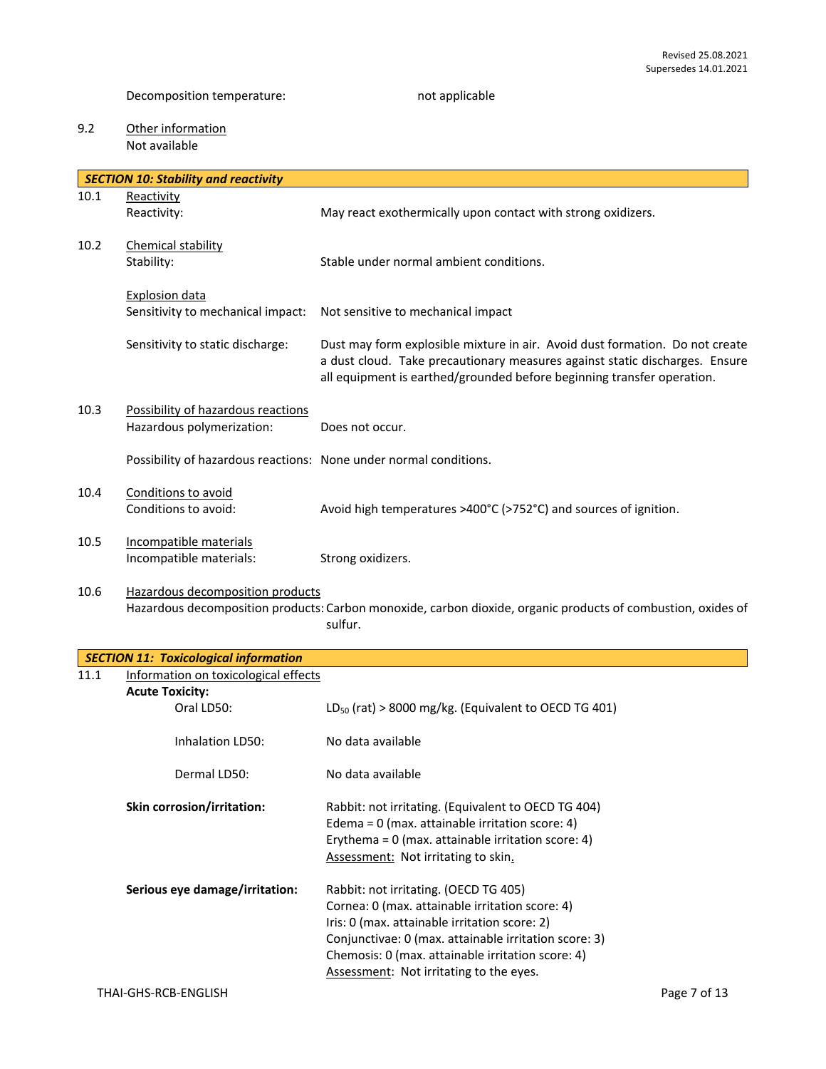# 9.2 Other information Not available

|      | <b>SECTION 10: Stability and reactivity</b>                       |                                                                                                                                                                                                                                                                                                    |  |  |
|------|-------------------------------------------------------------------|----------------------------------------------------------------------------------------------------------------------------------------------------------------------------------------------------------------------------------------------------------------------------------------------------|--|--|
| 10.1 | Reactivity                                                        |                                                                                                                                                                                                                                                                                                    |  |  |
|      | Reactivity:                                                       | May react exothermically upon contact with strong oxidizers.                                                                                                                                                                                                                                       |  |  |
|      |                                                                   |                                                                                                                                                                                                                                                                                                    |  |  |
| 10.2 | Chemical stability                                                |                                                                                                                                                                                                                                                                                                    |  |  |
|      | Stability:                                                        | Stable under normal ambient conditions.                                                                                                                                                                                                                                                            |  |  |
|      | <b>Explosion data</b>                                             |                                                                                                                                                                                                                                                                                                    |  |  |
|      | Sensitivity to mechanical impact:                                 | Not sensitive to mechanical impact                                                                                                                                                                                                                                                                 |  |  |
|      |                                                                   |                                                                                                                                                                                                                                                                                                    |  |  |
|      | Sensitivity to static discharge:                                  | Dust may form explosible mixture in air. Avoid dust formation. Do not create<br>a dust cloud. Take precautionary measures against static discharges. Ensure<br>all equipment is earthed/grounded before beginning transfer operation.                                                              |  |  |
| 10.3 | Possibility of hazardous reactions                                |                                                                                                                                                                                                                                                                                                    |  |  |
|      | Hazardous polymerization:                                         | Does not occur.                                                                                                                                                                                                                                                                                    |  |  |
|      |                                                                   |                                                                                                                                                                                                                                                                                                    |  |  |
|      | Possibility of hazardous reactions: None under normal conditions. |                                                                                                                                                                                                                                                                                                    |  |  |
| 10.4 | Conditions to avoid                                               |                                                                                                                                                                                                                                                                                                    |  |  |
|      | Conditions to avoid:                                              | Avoid high temperatures >400°C (>752°C) and sources of ignition.                                                                                                                                                                                                                                   |  |  |
| 10.5 | Incompatible materials<br>Incompatible materials:                 | Strong oxidizers.                                                                                                                                                                                                                                                                                  |  |  |
| 10.6 | Hazardous decomposition products                                  | Hazardous decomposition products: Carbon monoxide, carbon dioxide, organic products of combustion, oxides of<br>sulfur.                                                                                                                                                                            |  |  |
|      | <b>SECTION 11: Toxicological information</b>                      |                                                                                                                                                                                                                                                                                                    |  |  |
| 11.1 | Information on toxicological effects                              |                                                                                                                                                                                                                                                                                                    |  |  |
|      | <b>Acute Toxicity:</b>                                            |                                                                                                                                                                                                                                                                                                    |  |  |
|      | Oral LD50:                                                        | $LD_{50}$ (rat) > 8000 mg/kg. (Equivalent to OECD TG 401)                                                                                                                                                                                                                                          |  |  |
|      | Inhalation LD50:                                                  | No data available                                                                                                                                                                                                                                                                                  |  |  |
|      | Dermal LD50:                                                      | No data available                                                                                                                                                                                                                                                                                  |  |  |
|      | Skin corrosion/irritation:                                        | Rabbit: not irritating. (Equivalent to OECD TG 404)<br>Edema = $0$ (max. attainable irritation score: 4)<br>Erythema = $0$ (max. attainable irritation score: 4)<br>Assessment: Not irritating to skin.                                                                                            |  |  |
|      | Serious eye damage/irritation:                                    | Rabbit: not irritating. (OECD TG 405)<br>Cornea: 0 (max. attainable irritation score: 4)<br>Iris: 0 (max. attainable irritation score: 2)<br>Conjunctivae: 0 (max. attainable irritation score: 3)<br>Chemosis: 0 (max. attainable irritation score: 4)<br>Assessment: Not irritating to the eyes. |  |  |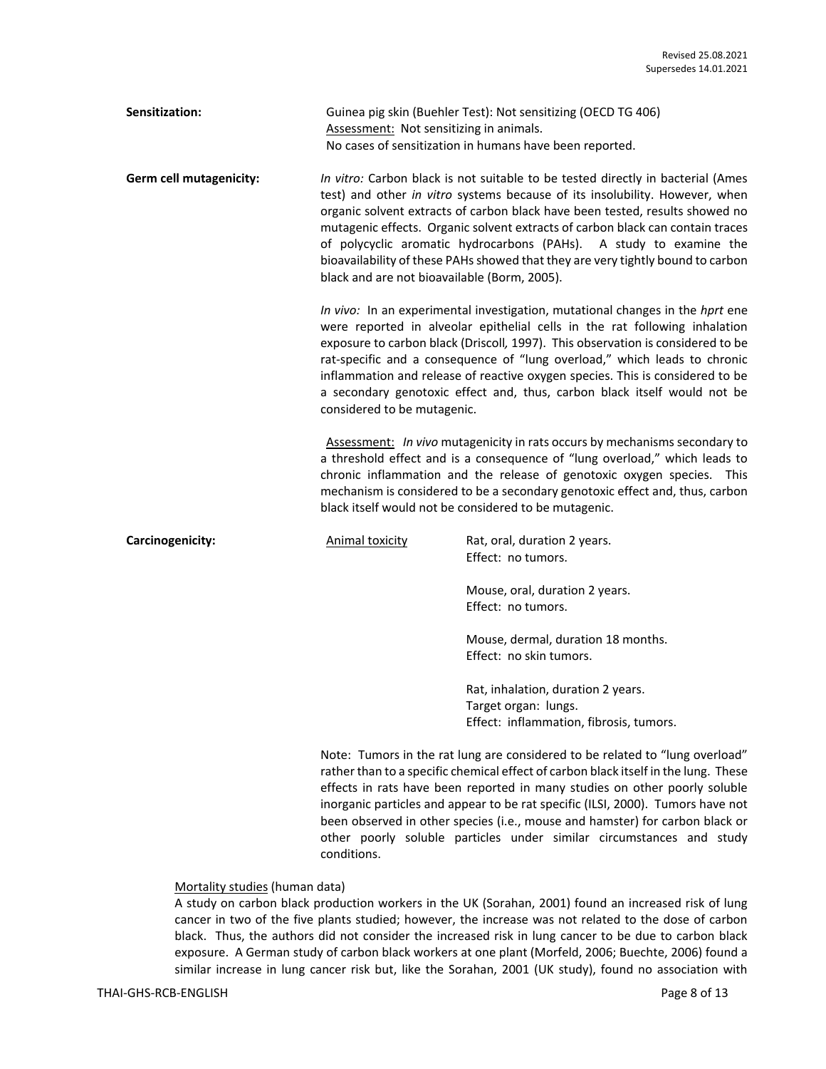| Sensitization:          | Assessment: Not sensitizing in animals.                                                                                                                                                                                                                                                                                                                                                                                                                                                                                                                                                                                                                                                                                                                                                                                                                                                                | Guinea pig skin (Buehler Test): Not sensitizing (OECD TG 406)<br>No cases of sensitization in humans have been reported.                                                                                                                                                                                                                                                                                                                                                                     |  |
|-------------------------|--------------------------------------------------------------------------------------------------------------------------------------------------------------------------------------------------------------------------------------------------------------------------------------------------------------------------------------------------------------------------------------------------------------------------------------------------------------------------------------------------------------------------------------------------------------------------------------------------------------------------------------------------------------------------------------------------------------------------------------------------------------------------------------------------------------------------------------------------------------------------------------------------------|----------------------------------------------------------------------------------------------------------------------------------------------------------------------------------------------------------------------------------------------------------------------------------------------------------------------------------------------------------------------------------------------------------------------------------------------------------------------------------------------|--|
| Germ cell mutagenicity: | In vitro: Carbon black is not suitable to be tested directly in bacterial (Ames<br>test) and other in vitro systems because of its insolubility. However, when<br>organic solvent extracts of carbon black have been tested, results showed no<br>mutagenic effects. Organic solvent extracts of carbon black can contain traces<br>of polycyclic aromatic hydrocarbons (PAHs). A study to examine the<br>bioavailability of these PAHs showed that they are very tightly bound to carbon<br>black and are not bioavailable (Borm, 2005).                                                                                                                                                                                                                                                                                                                                                              |                                                                                                                                                                                                                                                                                                                                                                                                                                                                                              |  |
|                         | In vivo: In an experimental investigation, mutational changes in the hprt ene<br>were reported in alveolar epithelial cells in the rat following inhalation<br>exposure to carbon black (Driscoll, 1997). This observation is considered to be<br>rat-specific and a consequence of "lung overload," which leads to chronic<br>inflammation and release of reactive oxygen species. This is considered to be<br>a secondary genotoxic effect and, thus, carbon black itself would not be<br>considered to be mutagenic.<br>Assessment: In vivo mutagenicity in rats occurs by mechanisms secondary to<br>a threshold effect and is a consequence of "lung overload," which leads to<br>chronic inflammation and the release of genotoxic oxygen species. This<br>mechanism is considered to be a secondary genotoxic effect and, thus, carbon<br>black itself would not be considered to be mutagenic. |                                                                                                                                                                                                                                                                                                                                                                                                                                                                                              |  |
|                         |                                                                                                                                                                                                                                                                                                                                                                                                                                                                                                                                                                                                                                                                                                                                                                                                                                                                                                        |                                                                                                                                                                                                                                                                                                                                                                                                                                                                                              |  |
| Carcinogenicity:        | <b>Animal toxicity</b>                                                                                                                                                                                                                                                                                                                                                                                                                                                                                                                                                                                                                                                                                                                                                                                                                                                                                 | Rat, oral, duration 2 years.<br>Effect: no tumors.                                                                                                                                                                                                                                                                                                                                                                                                                                           |  |
|                         |                                                                                                                                                                                                                                                                                                                                                                                                                                                                                                                                                                                                                                                                                                                                                                                                                                                                                                        | Mouse, oral, duration 2 years.<br>Effect: no tumors.                                                                                                                                                                                                                                                                                                                                                                                                                                         |  |
|                         |                                                                                                                                                                                                                                                                                                                                                                                                                                                                                                                                                                                                                                                                                                                                                                                                                                                                                                        | Mouse, dermal, duration 18 months.<br>Effect: no skin tumors.                                                                                                                                                                                                                                                                                                                                                                                                                                |  |
|                         |                                                                                                                                                                                                                                                                                                                                                                                                                                                                                                                                                                                                                                                                                                                                                                                                                                                                                                        | Rat, inhalation, duration 2 years.<br>Target organ: lungs.<br>Effect: inflammation, fibrosis, tumors.                                                                                                                                                                                                                                                                                                                                                                                        |  |
|                         |                                                                                                                                                                                                                                                                                                                                                                                                                                                                                                                                                                                                                                                                                                                                                                                                                                                                                                        | Note: Tumors in the rat lung are considered to be related to "lung overload"<br>rather than to a specific chemical effect of carbon black itself in the lung. These<br>effects in rats have been reported in many studies on other poorly soluble<br>inorganic particles and appear to be rat specific (ILSI, 2000). Tumors have not<br>been observed in other species (i.e., mouse and hamster) for carbon black or<br>other poorly soluble particles under similar circumstances and study |  |

#### Mortality studies (human data)

conditions.

A study on carbon black production workers in the UK (Sorahan, 2001) found an increased risk of lung cancer in two of the five plants studied; however, the increase was not related to the dose of carbon black. Thus, the authors did not consider the increased risk in lung cancer to be due to carbon black exposure. A German study of carbon black workers at one plant (Morfeld, 2006; Buechte, 2006) found a similar increase in lung cancer risk but, like the Sorahan, 2001 (UK study), found no association with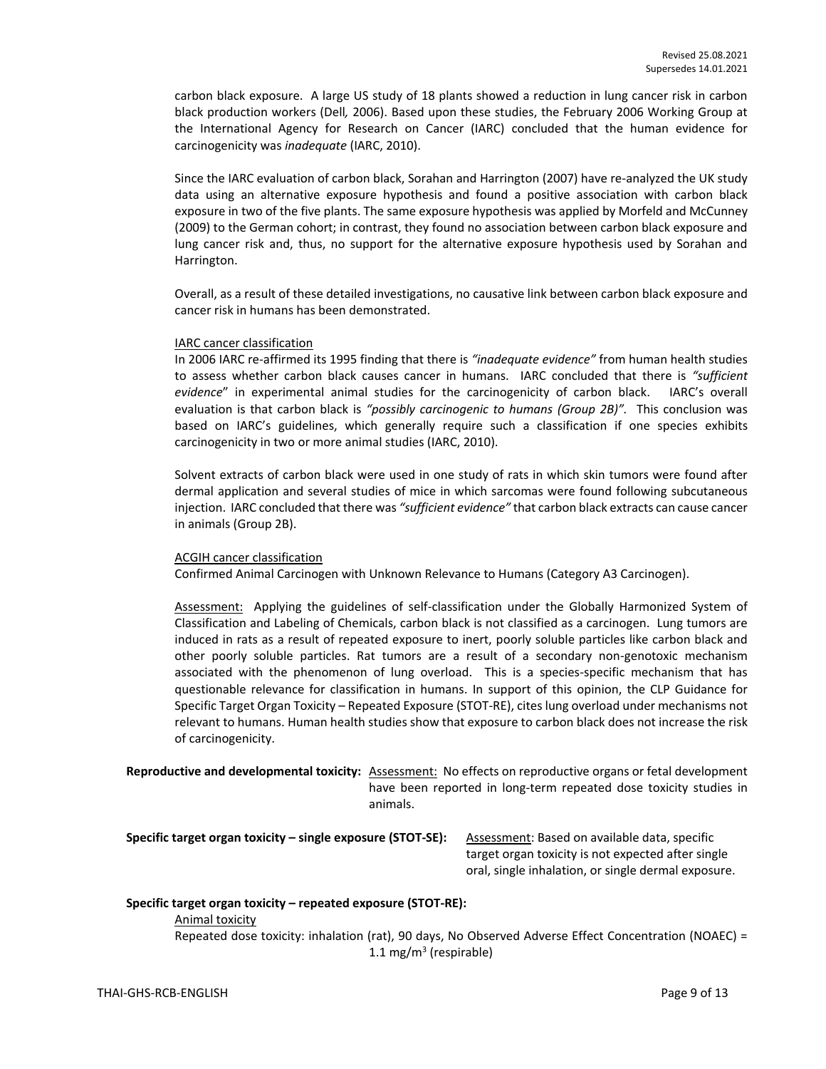carbon black exposure. A large US study of 18 plants showed a reduction in lung cancer risk in carbon black production workers (Dell*,* 2006). Based upon these studies, the February 2006 Working Group at the International Agency for Research on Cancer (IARC) concluded that the human evidence for carcinogenicity was *inadequate* (IARC, 2010).

Since the IARC evaluation of carbon black, Sorahan and Harrington (2007) have re-analyzed the UK study data using an alternative exposure hypothesis and found a positive association with carbon black exposure in two of the five plants. The same exposure hypothesis was applied by Morfeld and McCunney (2009) to the German cohort; in contrast, they found no association between carbon black exposure and lung cancer risk and, thus, no support for the alternative exposure hypothesis used by Sorahan and Harrington.

Overall, as a result of these detailed investigations, no causative link between carbon black exposure and cancer risk in humans has been demonstrated.

#### IARC cancer classification

In 2006 IARC re-affirmed its 1995 finding that there is *"inadequate evidence"* from human health studies to assess whether carbon black causes cancer in humans. IARC concluded that there is *"sufficient evidence*" in experimental animal studies for the carcinogenicity of carbon black. IARC's overall evaluation is that carbon black is *"possibly carcinogenic to humans (Group 2B)".* This conclusion was based on IARC's guidelines, which generally require such a classification if one species exhibits carcinogenicity in two or more animal studies (IARC, 2010).

Solvent extracts of carbon black were used in one study of rats in which skin tumors were found after dermal application and several studies of mice in which sarcomas were found following subcutaneous injection. IARC concluded that there was *"sufficient evidence"* that carbon black extracts can cause cancer in animals (Group 2B).

#### ACGIH cancer classification

Confirmed Animal Carcinogen with Unknown Relevance to Humans (Category A3 Carcinogen).

Assessment: Applying the guidelines of self-classification under the Globally Harmonized System of Classification and Labeling of Chemicals, carbon black is not classified as a carcinogen. Lung tumors are induced in rats as a result of repeated exposure to inert, poorly soluble particles like carbon black and other poorly soluble particles. Rat tumors are a result of a secondary non-genotoxic mechanism associated with the phenomenon of lung overload. This is a species-specific mechanism that has questionable relevance for classification in humans. In support of this opinion, the CLP Guidance for Specific Target Organ Toxicity – Repeated Exposure (STOT-RE), cites lung overload under mechanisms not relevant to humans. Human health studies show that exposure to carbon black does not increase the risk of carcinogenicity.

**Reproductive and developmental toxicity:** Assessment: No effects on reproductive organs or fetal development have been reported in long-term repeated dose toxicity studies in animals.

**Specific target organ toxicity – single exposure (STOT-SE):** Assessment: Based on available data, specific

target organ toxicity is not expected after single oral, single inhalation, or single dermal exposure.

### **Specific target organ toxicity – repeated exposure (STOT-RE):**  Animal toxicity

Repeated dose toxicity: inhalation (rat), 90 days, No Observed Adverse Effect Concentration (NOAEC) = 1.1 mg/m<sup>3</sup> (respirable)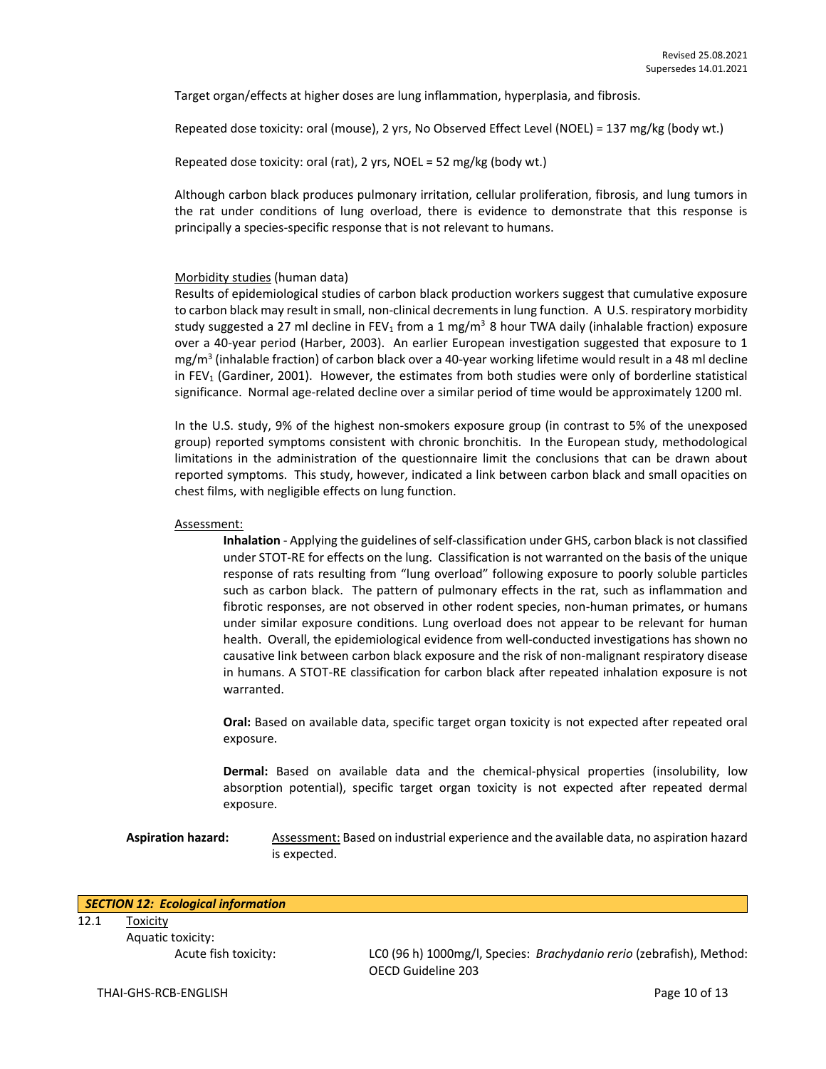Target organ/effects at higher doses are lung inflammation, hyperplasia, and fibrosis.

Repeated dose toxicity: oral (mouse), 2 yrs, No Observed Effect Level (NOEL) = 137 mg/kg (body wt.)

Repeated dose toxicity: oral (rat), 2 yrs, NOEL = 52 mg/kg (body wt.)

Although carbon black produces pulmonary irritation, cellular proliferation, fibrosis, and lung tumors in the rat under conditions of lung overload, there is evidence to demonstrate that this response is principally a species-specific response that is not relevant to humans.

# Morbidity studies (human data)

Results of epidemiological studies of carbon black production workers suggest that cumulative exposure to carbon black may result in small, non-clinical decrements in lung function. A U.S. respiratory morbidity study suggested a 27 ml decline in FEV<sub>1</sub> from a 1 mg/m<sup>3</sup> 8 hour TWA daily (inhalable fraction) exposure over a 40-year period (Harber, 2003). An earlier European investigation suggested that exposure to 1 mg/m<sup>3</sup> (inhalable fraction) of carbon black over a 40-year working lifetime would result in a 48 ml decline in FEV<sup>1</sup> (Gardiner, 2001). However, the estimates from both studies were only of borderline statistical significance. Normal age-related decline over a similar period of time would be approximately 1200 ml.

In the U.S. study, 9% of the highest non-smokers exposure group (in contrast to 5% of the unexposed group) reported symptoms consistent with chronic bronchitis. In the European study, methodological limitations in the administration of the questionnaire limit the conclusions that can be drawn about reported symptoms. This study, however, indicated a link between carbon black and small opacities on chest films, with negligible effects on lung function.

#### Assessment:

**Inhalation** - Applying the guidelines of self-classification under GHS, carbon black is not classified under STOT-RE for effects on the lung. Classification is not warranted on the basis of the unique response of rats resulting from "lung overload" following exposure to poorly soluble particles such as carbon black. The pattern of pulmonary effects in the rat, such as inflammation and fibrotic responses, are not observed in other rodent species, non-human primates, or humans under similar exposure conditions. Lung overload does not appear to be relevant for human health. Overall, the epidemiological evidence from well-conducted investigations has shown no causative link between carbon black exposure and the risk of non-malignant respiratory disease in humans. A STOT-RE classification for carbon black after repeated inhalation exposure is not warranted.

**Oral:** Based on available data, specific target organ toxicity is not expected after repeated oral exposure.

**Dermal:** Based on available data and the chemical-physical properties (insolubility, low absorption potential), specific target organ toxicity is not expected after repeated dermal exposure.

**Aspiration hazard:** Assessment: Based on industrial experience and the available data, no aspiration hazard is expected.

# *SECTION 12: Ecological information*

12.1 Toxicity Aquatic toxicity:

Acute fish toxicity: LC0 (96 h) 1000mg/l, Species: *Brachydanio rerio* (zebrafish), Method: OECD Guideline 203

THAI-GHS-RCB-ENGLISH Page 10 of 13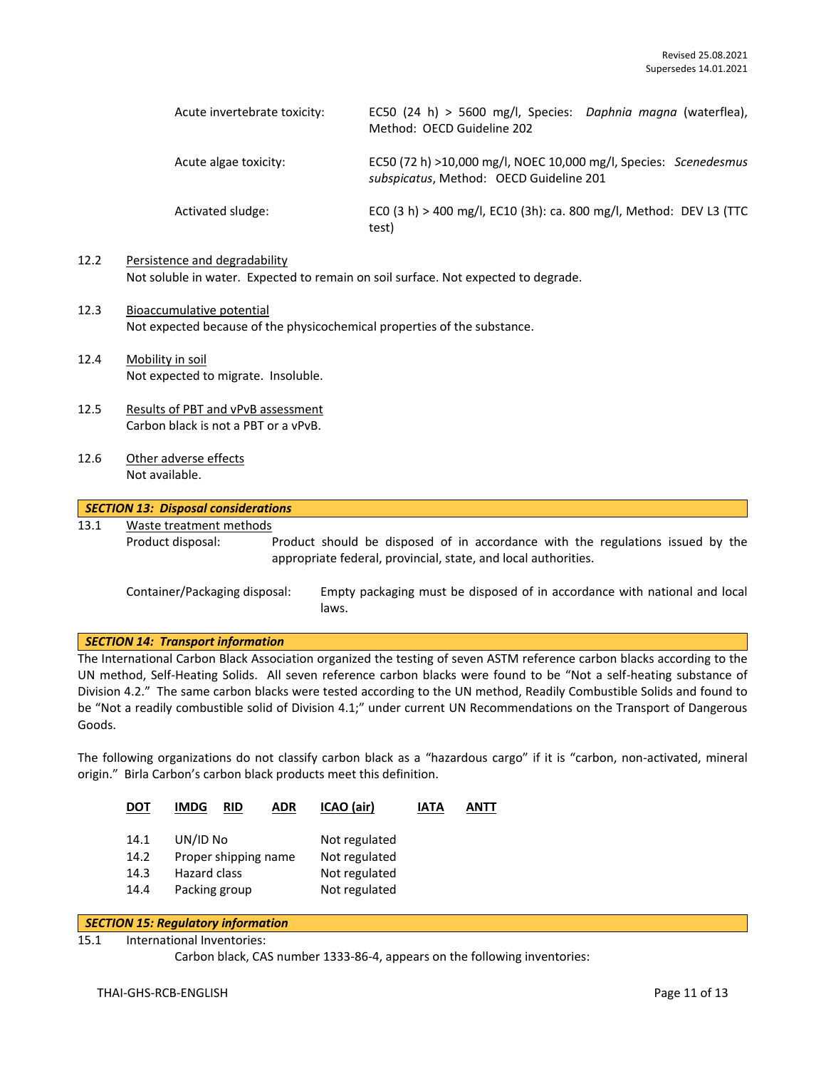| Acute invertebrate toxicity: | EC50 (24 h) > 5600 mg/l, Species: Daphnia magna (waterflea),<br>Method: OECD Guideline 202                  |
|------------------------------|-------------------------------------------------------------------------------------------------------------|
| Acute algae toxicity:        | EC50 (72 h) >10,000 mg/l, NOEC 10,000 mg/l, Species: Scenedesmus<br>subspicatus, Method: OECD Guideline 201 |
| Activated sludge:            | ECO (3 h) > 400 mg/l, EC10 (3h): ca. 800 mg/l, Method: DEV L3 (TTC<br>test)                                 |

# 12.2 Persistence and degradability Not soluble in water. Expected to remain on soil surface. Not expected to degrade.

- 12.3 Bioaccumulative potential Not expected because of the physicochemical properties of the substance.
- 12.4 Mobility in soil Not expected to migrate. Insoluble.
- 12.5 Results of PBT and vPvB assessment Carbon black is not a PBT or a vPvB.
- 12.6 Other adverse effects Not available.

# *SECTION 13: Disposal considerations*

# 13.1 Waste treatment methods

Product disposal: Product should be disposed of in accordance with the regulations issued by the appropriate federal, provincial, state, and local authorities.

Container/Packaging disposal: Empty packaging must be disposed of in accordance with national and local laws.

# *SECTION 14: Transport information*

The International Carbon Black Association organized the testing of seven ASTM reference carbon blacks according to the UN method, Self-Heating Solids. All seven reference carbon blacks were found to be "Not a self-heating substance of Division 4.2." The same carbon blacks were tested according to the UN method, Readily Combustible Solids and found to be "Not a readily combustible solid of Division 4.1;" under current UN Recommendations on the Transport of Dangerous Goods.

The following organizations do not classify carbon black as a "hazardous cargo" if it is "carbon, non-activated, mineral origin." Birla Carbon's carbon black products meet this definition.

| DOT  | <b>IMDG</b><br>RID<br>ADR | ICAO (air)    | IATA | ANTT |
|------|---------------------------|---------------|------|------|
| 14.1 | UN/ID No                  | Not regulated |      |      |
| 14.2 | Proper shipping name      | Not regulated |      |      |
| 14.3 | Hazard class              | Not regulated |      |      |
| 14.4 | Packing group             | Not regulated |      |      |

# *SECTION 15: Regulatory information*

#### 15.1 International Inventories:

Carbon black, CAS number 1333-86-4, appears on the following inventories: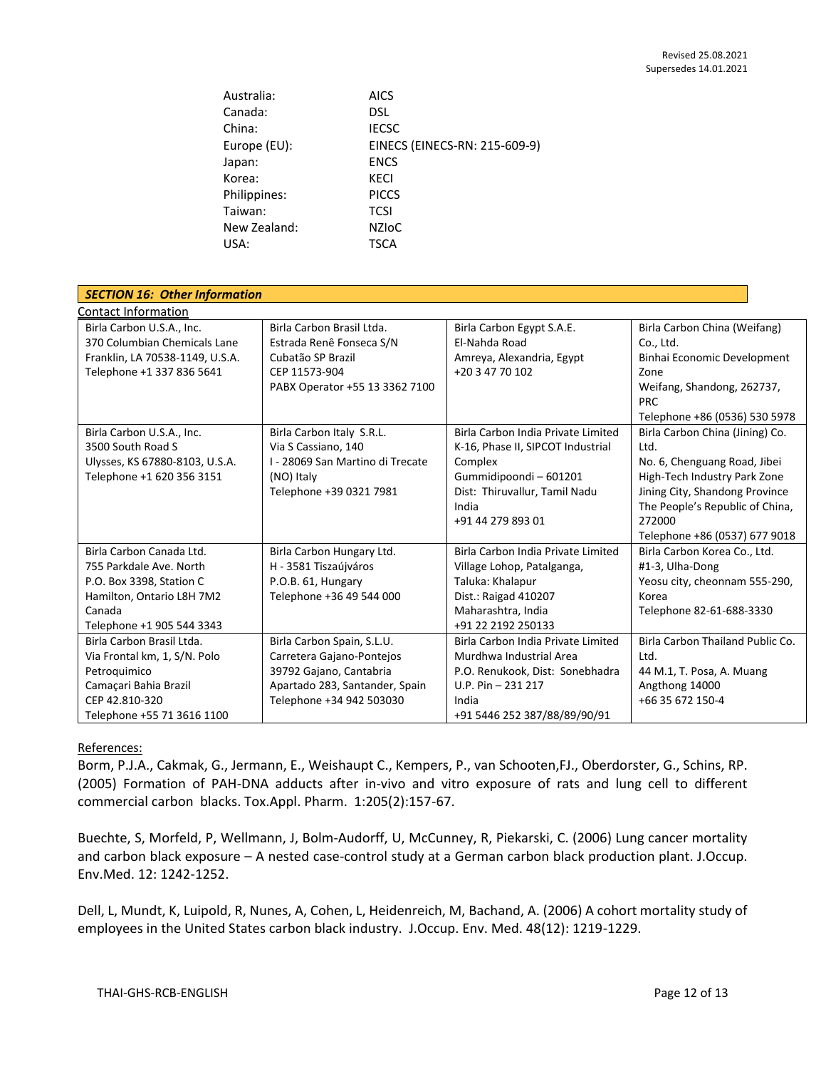| Australia:   | <b>AICS</b>                   |
|--------------|-------------------------------|
| Canada:      | DSL                           |
| China:       | <b>IECSC</b>                  |
| Europe (EU): | EINECS (EINECS-RN: 215-609-9) |
| Japan:       | <b>ENCS</b>                   |
| Korea:       | KECI                          |
| Philippines: | <b>PICCS</b>                  |
| Taiwan:      | <b>TCSI</b>                   |
| New Zealand: | <b>NZIOC</b>                  |
| USA:         | TSCA                          |

| <b>SECTION 16: Other Information</b> |                                  |                                    |                                  |  |
|--------------------------------------|----------------------------------|------------------------------------|----------------------------------|--|
| <b>Contact Information</b>           |                                  |                                    |                                  |  |
| Birla Carbon U.S.A., Inc.            | Birla Carbon Brasil Ltda.        | Birla Carbon Egypt S.A.E.          | Birla Carbon China (Weifang)     |  |
| 370 Columbian Chemicals Lane         | Estrada Renê Fonseca S/N         | El-Nahda Road                      | Co., Ltd.                        |  |
| Franklin, LA 70538-1149, U.S.A.      | Cubatão SP Brazil                | Amreya, Alexandria, Egypt          | Binhai Economic Development      |  |
| Telephone +1 337 836 5641            | CEP 11573-904                    | +20 3 47 70 102                    | Zone                             |  |
|                                      | PABX Operator +55 13 3362 7100   |                                    | Weifang, Shandong, 262737,       |  |
|                                      |                                  |                                    | <b>PRC</b>                       |  |
|                                      |                                  |                                    | Telephone +86 (0536) 530 5978    |  |
| Birla Carbon U.S.A., Inc.            | Birla Carbon Italy S.R.L.        | Birla Carbon India Private Limited | Birla Carbon China (Jining) Co.  |  |
| 3500 South Road S                    | Via S Cassiano, 140              | K-16, Phase II, SIPCOT Industrial  | Ltd.                             |  |
| Ulysses, KS 67880-8103, U.S.A.       | I - 28069 San Martino di Trecate | Complex                            | No. 6, Chenguang Road, Jibei     |  |
| Telephone +1 620 356 3151            | (NO) Italy                       | Gummidipoondi - 601201             | High-Tech Industry Park Zone     |  |
|                                      | Telephone +39 0321 7981          | Dist: Thiruvallur, Tamil Nadu      | Jining City, Shandong Province   |  |
|                                      |                                  | India                              | The People's Republic of China,  |  |
|                                      |                                  | +91 44 279 893 01                  | 272000                           |  |
|                                      |                                  |                                    | Telephone +86 (0537) 677 9018    |  |
| Birla Carbon Canada Ltd.             | Birla Carbon Hungary Ltd.        | Birla Carbon India Private Limited | Birla Carbon Korea Co., Ltd.     |  |
| 755 Parkdale Ave. North              | H - 3581 Tiszaújváros            | Village Lohop, Patalganga,         | #1-3, Ulha-Dong                  |  |
| P.O. Box 3398, Station C             | P.O.B. 61, Hungary               | Taluka: Khalapur                   | Yeosu city, cheonnam 555-290,    |  |
| Hamilton, Ontario L8H 7M2            | Telephone +36 49 544 000         | Dist.: Raigad 410207               | Korea                            |  |
| Canada                               |                                  | Maharashtra, India                 | Telephone 82-61-688-3330         |  |
| Telephone +1 905 544 3343            |                                  | +91 22 2192 250133                 |                                  |  |
| Birla Carbon Brasil Ltda.            | Birla Carbon Spain, S.L.U.       | Birla Carbon India Private Limited | Birla Carbon Thailand Public Co. |  |
| Via Frontal km, 1, S/N. Polo         | Carretera Gajano-Pontejos        | Murdhwa Industrial Area            | Ltd.                             |  |
| Petroquimico                         | 39792 Gajano, Cantabria          | P.O. Renukook, Dist: Sonebhadra    | 44 M.1, T. Posa, A. Muang        |  |
| Camaçari Bahia Brazil                | Apartado 283, Santander, Spain   | $U.P. Pin - 231 217$               | Angthong 14000                   |  |
| CEP 42.810-320                       | Telephone +34 942 503030         | India                              | +66 35 672 150-4                 |  |
| Telephone +55 71 3616 1100           |                                  | +91 5446 252 387/88/89/90/91       |                                  |  |

# References:

Borm, P.J.A., Cakmak, G., Jermann, E., Weishaupt C., Kempers, P., van Schooten,FJ., Oberdorster, G., Schins, RP. (2005) Formation of PAH-DNA adducts after in-vivo and vitro exposure of rats and lung cell to different commercial carbon blacks. Tox.Appl. Pharm. 1:205(2):157-67.

Buechte, S, Morfeld, P, Wellmann, J, Bolm-Audorff, U, McCunney, R, Piekarski, C. (2006) Lung cancer mortality and carbon black exposure – A nested case-control study at a German carbon black production plant. J.Occup. Env.Med. 12: 1242-1252.

Dell, L, Mundt, K, Luipold, R, Nunes, A, Cohen, L, Heidenreich, M, Bachand, A. (2006) A cohort mortality study of employees in the United States carbon black industry. J.Occup. Env. Med. 48(12): 1219-1229.